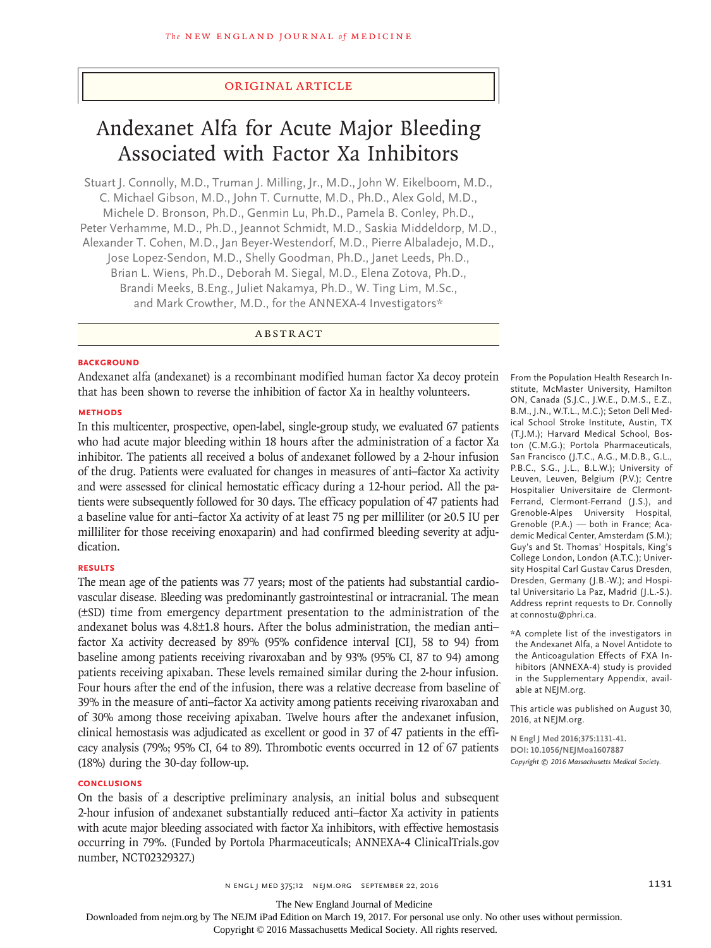# Original Article

# Andexanet Alfa for Acute Major Bleeding Associated with Factor Xa Inhibitors

Stuart J. Connolly, M.D., Truman J. Milling, Jr., M.D., John W. Eikelboom, M.D., C. Michael Gibson, M.D., John T. Curnutte, M.D., Ph.D., Alex Gold, M.D., Michele D. Bronson, Ph.D., Genmin Lu, Ph.D., Pamela B. Conley, Ph.D., Peter Verhamme, M.D., Ph.D., Jeannot Schmidt, M.D., Saskia Middeldorp, M.D., Alexander T. Cohen, M.D., Jan Beyer-Westendorf, M.D., Pierre Albaladejo, M.D., Jose Lopez-Sendon, M.D., Shelly Goodman, Ph.D., Janet Leeds, Ph.D., Brian L. Wiens, Ph.D., Deborah M. Siegal, M.D., Elena Zotova, Ph.D., Brandi Meeks, B.Eng., Juliet Nakamya, Ph.D., W. Ting Lim, M.Sc., and Mark Crowther, M.D., for the ANNEXA-4 Investigators\*

ABSTRACT

#### **BACKGROUND**

Andexanet alfa (andexanet) is a recombinant modified human factor Xa decoy protein that has been shown to reverse the inhibition of factor Xa in healthy volunteers.

# **METHODS**

In this multicenter, prospective, open-label, single-group study, we evaluated 67 patients who had acute major bleeding within 18 hours after the administration of a factor Xa inhibitor. The patients all received a bolus of andexanet followed by a 2-hour infusion of the drug. Patients were evaluated for changes in measures of anti–factor Xa activity and were assessed for clinical hemostatic efficacy during a 12-hour period. All the patients were subsequently followed for 30 days. The efficacy population of 47 patients had a baseline value for anti–factor Xa activity of at least 75 ng per milliliter (or ≥0.5 IU per milliliter for those receiving enoxaparin) and had confirmed bleeding severity at adjudication.

## **RESULTS**

The mean age of the patients was 77 years; most of the patients had substantial cardiovascular disease. Bleeding was predominantly gastrointestinal or intracranial. The mean (±SD) time from emergency department presentation to the administration of the andexanet bolus was 4.8±1.8 hours. After the bolus administration, the median anti– factor Xa activity decreased by 89% (95% confidence interval [CI], 58 to 94) from baseline among patients receiving rivaroxaban and by 93% (95% CI, 87 to 94) among patients receiving apixaban. These levels remained similar during the 2-hour infusion. Four hours after the end of the infusion, there was a relative decrease from baseline of 39% in the measure of anti–factor Xa activity among patients receiving rivaroxaban and of 30% among those receiving apixaban. Twelve hours after the andexanet infusion, clinical hemostasis was adjudicated as excellent or good in 37 of 47 patients in the efficacy analysis (79%; 95% CI, 64 to 89). Thrombotic events occurred in 12 of 67 patients (18%) during the 30-day follow-up.

## **CONCLUSIONS**

On the basis of a descriptive preliminary analysis, an initial bolus and subsequent 2-hour infusion of andexanet substantially reduced anti–factor Xa activity in patients with acute major bleeding associated with factor Xa inhibitors, with effective hemostasis occurring in 79%. (Funded by Portola Pharmaceuticals; ANNEXA-4 ClinicalTrials.gov number, NCT02329327.)

From the Population Health Research Institute, McMaster University, Hamilton ON, Canada (S.J.C., J.W.E., D.M.S., E.Z., B.M., J.N., W.T.L., M.C.); Seton Dell Medical School Stroke Institute, Austin, TX (T.J.M.); Harvard Medical School, Boston (C.M.G.); Portola Pharmaceuticals, San Francisco (J.T.C., A.G., M.D.B., G.L., P.B.C., S.G., J.L., B.L.W.); University of Leuven, Leuven, Belgium (P.V.); Centre Hospitalier Universitaire de Clermont-Ferrand, Clermont-Ferrand (J.S.), and Grenoble-Alpes University Hospital, Grenoble (P.A.) — both in France; Academic Medical Center, Amsterdam (S.M.); Guy's and St. Thomas' Hospitals, King's College London, London (A.T.C.); University Hospital Carl Gustav Carus Dresden, Dresden, Germany (J.B.-W.); and Hospital Universitario La Paz, Madrid (J.L.-S.). Address reprint requests to Dr. Connolly at connostu@phri.ca.

\*A complete list of the investigators in the Andexanet Alfa, a Novel Antidote to the Anticoagulation Effects of FXA Inhibitors (ANNEXA-4) study is provided in the Supplementary Appendix, available at NEJM.org.

This article was published on August 30, 2016, at NEJM.org.

**N Engl J Med 2016;375:1131-41. DOI: 10.1056/NEJMoa1607887** *Copyright © 2016 Massachusetts Medical Society.*

n ENGL | MED 375;12 NEJM.ORG SEPTEMBER 22, 2016 1131

The New England Journal of Medicine

Downloaded from nejm.org by The NEJM iPad Edition on March 19, 2017. For personal use only. No other uses without permission.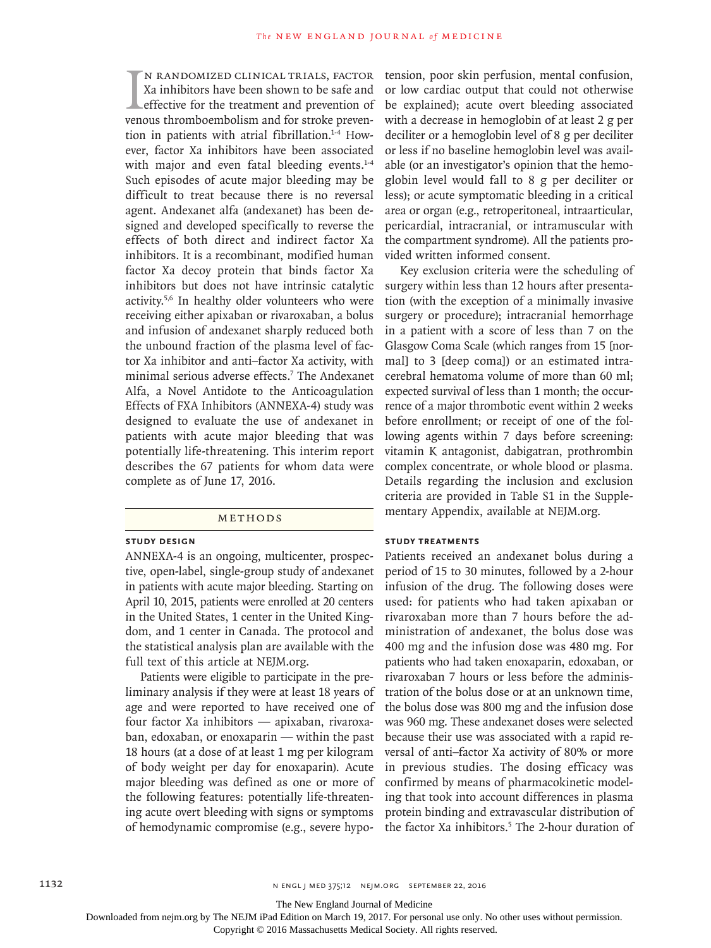I<br>vene n randomized clinical trials, factor Xa inhibitors have been shown to be safe and effective for the treatment and prevention of venous thromboembolism and for stroke prevention in patients with atrial fibrillation.<sup>1-4</sup> However, factor Xa inhibitors have been associated with major and even fatal bleeding events.<sup>1-4</sup> Such episodes of acute major bleeding may be difficult to treat because there is no reversal agent. Andexanet alfa (andexanet) has been designed and developed specifically to reverse the effects of both direct and indirect factor Xa inhibitors. It is a recombinant, modified human factor Xa decoy protein that binds factor Xa inhibitors but does not have intrinsic catalytic activity.5,6 In healthy older volunteers who were receiving either apixaban or rivaroxaban, a bolus and infusion of andexanet sharply reduced both the unbound fraction of the plasma level of factor Xa inhibitor and anti–factor Xa activity, with minimal serious adverse effects.7 The Andexanet Alfa, a Novel Antidote to the Anticoagulation Effects of FXA Inhibitors (ANNEXA-4) study was designed to evaluate the use of andexanet in patients with acute major bleeding that was potentially life-threatening. This interim report describes the 67 patients for whom data were complete as of June 17, 2016.

#### Methods

## **Study Design**

ANNEXA-4 is an ongoing, multicenter, prospective, open-label, single-group study of andexanet in patients with acute major bleeding. Starting on April 10, 2015, patients were enrolled at 20 centers in the United States, 1 center in the United Kingdom, and 1 center in Canada. The protocol and the statistical analysis plan are available with the full text of this article at NEJM.org.

Patients were eligible to participate in the preliminary analysis if they were at least 18 years of age and were reported to have received one of four factor Xa inhibitors — apixaban, rivaroxaban, edoxaban, or enoxaparin — within the past 18 hours (at a dose of at least 1 mg per kilogram of body weight per day for enoxaparin). Acute major bleeding was defined as one or more of the following features: potentially life-threatening acute overt bleeding with signs or symptoms of hemodynamic compromise (e.g., severe hypotension, poor skin perfusion, mental confusion, or low cardiac output that could not otherwise be explained); acute overt bleeding associated with a decrease in hemoglobin of at least 2 g per deciliter or a hemoglobin level of 8 g per deciliter or less if no baseline hemoglobin level was available (or an investigator's opinion that the hemoglobin level would fall to 8 g per deciliter or less); or acute symptomatic bleeding in a critical area or organ (e.g., retroperitoneal, intraarticular, pericardial, intracranial, or intramuscular with the compartment syndrome). All the patients provided written informed consent.

Key exclusion criteria were the scheduling of surgery within less than 12 hours after presentation (with the exception of a minimally invasive surgery or procedure); intracranial hemorrhage in a patient with a score of less than 7 on the Glasgow Coma Scale (which ranges from 15 [normal] to 3 [deep coma]) or an estimated intracerebral hematoma volume of more than 60 ml; expected survival of less than 1 month; the occurrence of a major thrombotic event within 2 weeks before enrollment; or receipt of one of the following agents within 7 days before screening: vitamin K antagonist, dabigatran, prothrombin complex concentrate, or whole blood or plasma. Details regarding the inclusion and exclusion criteria are provided in Table S1 in the Supplementary Appendix, available at NEJM.org.

## **Study Treatments**

Patients received an andexanet bolus during a period of 15 to 30 minutes, followed by a 2-hour infusion of the drug. The following doses were used: for patients who had taken apixaban or rivaroxaban more than 7 hours before the administration of andexanet, the bolus dose was 400 mg and the infusion dose was 480 mg. For patients who had taken enoxaparin, edoxaban, or rivaroxaban 7 hours or less before the administration of the bolus dose or at an unknown time, the bolus dose was 800 mg and the infusion dose was 960 mg. These andexanet doses were selected because their use was associated with a rapid reversal of anti–factor Xa activity of 80% or more in previous studies. The dosing efficacy was confirmed by means of pharmacokinetic modeling that took into account differences in plasma protein binding and extravascular distribution of the factor Xa inhibitors.<sup>5</sup> The 2-hour duration of

The New England Journal of Medicine

Downloaded from nejm.org by The NEJM iPad Edition on March 19, 2017. For personal use only. No other uses without permission.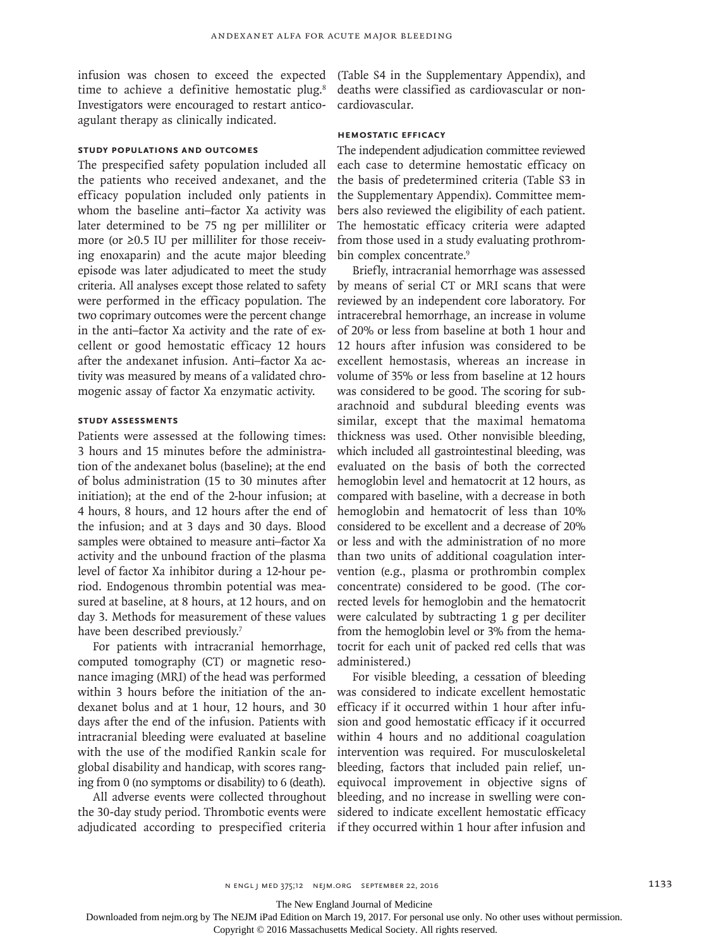infusion was chosen to exceed the expected time to achieve a definitive hemostatic plug.<sup>8</sup> Investigators were encouraged to restart anticoagulant therapy as clinically indicated.

# **Study Populations and Outcomes**

The prespecified safety population included all the patients who received andexanet, and the efficacy population included only patients in whom the baseline anti–factor Xa activity was later determined to be 75 ng per milliliter or more (or ≥0.5 IU per milliliter for those receiving enoxaparin) and the acute major bleeding episode was later adjudicated to meet the study criteria. All analyses except those related to safety were performed in the efficacy population. The two coprimary outcomes were the percent change in the anti–factor Xa activity and the rate of excellent or good hemostatic efficacy 12 hours after the andexanet infusion. Anti–factor Xa activity was measured by means of a validated chromogenic assay of factor Xa enzymatic activity.

# **Study Assessments**

Patients were assessed at the following times: 3 hours and 15 minutes before the administration of the andexanet bolus (baseline); at the end of bolus administration (15 to 30 minutes after initiation); at the end of the 2-hour infusion; at 4 hours, 8 hours, and 12 hours after the end of the infusion; and at 3 days and 30 days. Blood samples were obtained to measure anti–factor Xa activity and the unbound fraction of the plasma level of factor Xa inhibitor during a 12-hour period. Endogenous thrombin potential was measured at baseline, at 8 hours, at 12 hours, and on day 3. Methods for measurement of these values have been described previously.<sup>7</sup>

For patients with intracranial hemorrhage, computed tomography (CT) or magnetic resonance imaging (MRI) of the head was performed within 3 hours before the initiation of the andexanet bolus and at 1 hour, 12 hours, and 30 days after the end of the infusion. Patients with intracranial bleeding were evaluated at baseline with the use of the modified Rankin scale for global disability and handicap, with scores ranging from 0 (no symptoms or disability) to 6 (death).

All adverse events were collected throughout the 30-day study period. Thrombotic events were adjudicated according to prespecified criteria

(Table S4 in the Supplementary Appendix), and deaths were classified as cardiovascular or noncardiovascular.

# **Hemostatic Efficacy**

The independent adjudication committee reviewed each case to determine hemostatic efficacy on the basis of predetermined criteria (Table S3 in the Supplementary Appendix). Committee members also reviewed the eligibility of each patient. The hemostatic efficacy criteria were adapted from those used in a study evaluating prothrombin complex concentrate.<sup>9</sup>

Briefly, intracranial hemorrhage was assessed by means of serial CT or MRI scans that were reviewed by an independent core laboratory. For intracerebral hemorrhage, an increase in volume of 20% or less from baseline at both 1 hour and 12 hours after infusion was considered to be excellent hemostasis, whereas an increase in volume of 35% or less from baseline at 12 hours was considered to be good. The scoring for subarachnoid and subdural bleeding events was similar, except that the maximal hematoma thickness was used. Other nonvisible bleeding, which included all gastrointestinal bleeding, was evaluated on the basis of both the corrected hemoglobin level and hematocrit at 12 hours, as compared with baseline, with a decrease in both hemoglobin and hematocrit of less than 10% considered to be excellent and a decrease of 20% or less and with the administration of no more than two units of additional coagulation intervention (e.g., plasma or prothrombin complex concentrate) considered to be good. (The corrected levels for hemoglobin and the hematocrit were calculated by subtracting 1 g per deciliter from the hemoglobin level or 3% from the hematocrit for each unit of packed red cells that was administered.)

For visible bleeding, a cessation of bleeding was considered to indicate excellent hemostatic efficacy if it occurred within 1 hour after infusion and good hemostatic efficacy if it occurred within 4 hours and no additional coagulation intervention was required. For musculoskeletal bleeding, factors that included pain relief, unequivocal improvement in objective signs of bleeding, and no increase in swelling were considered to indicate excellent hemostatic efficacy if they occurred within 1 hour after infusion and

The New England Journal of Medicine

Downloaded from nejm.org by The NEJM iPad Edition on March 19, 2017. For personal use only. No other uses without permission.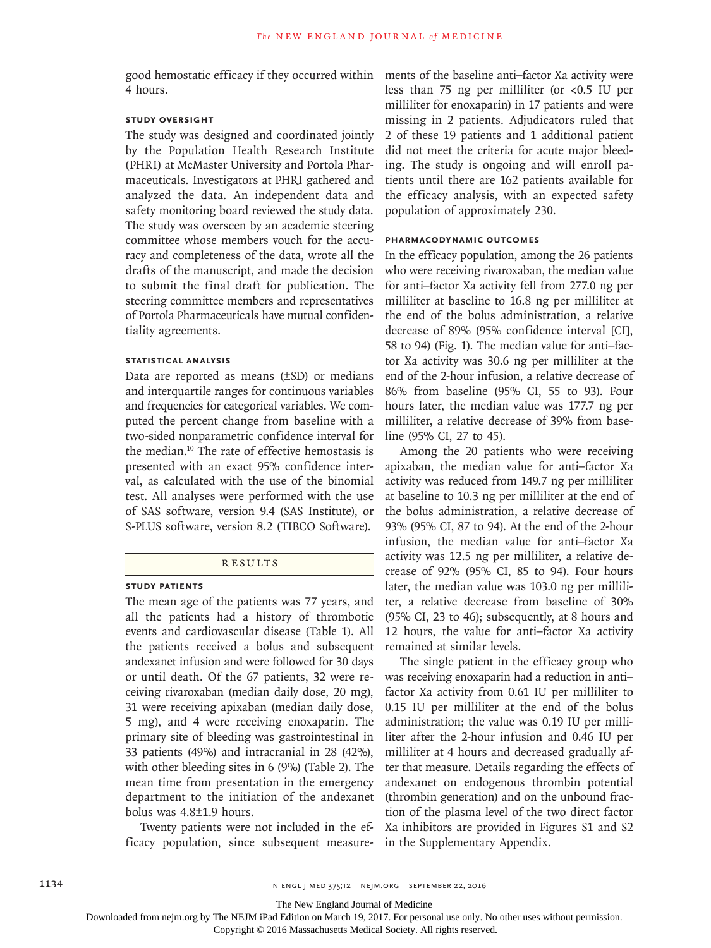good hemostatic efficacy if they occurred within ments of the baseline anti–factor Xa activity were 4 hours.

## **Study Oversight**

The study was designed and coordinated jointly by the Population Health Research Institute (PHRI) at McMaster University and Portola Pharmaceuticals. Investigators at PHRI gathered and analyzed the data. An independent data and safety monitoring board reviewed the study data. The study was overseen by an academic steering committee whose members vouch for the accuracy and completeness of the data, wrote all the drafts of the manuscript, and made the decision to submit the final draft for publication. The steering committee members and representatives of Portola Pharmaceuticals have mutual confidentiality agreements.

## **Statistical Analysis**

Data are reported as means (±SD) or medians and interquartile ranges for continuous variables and frequencies for categorical variables. We computed the percent change from baseline with a two-sided nonparametric confidence interval for the median.10 The rate of effective hemostasis is presented with an exact 95% confidence interval, as calculated with the use of the binomial test. All analyses were performed with the use of SAS software, version 9.4 (SAS Institute), or S-PLUS software, version 8.2 (TIBCO Software).

#### **RESULTS**

#### **Study Patients**

The mean age of the patients was 77 years, and all the patients had a history of thrombotic events and cardiovascular disease (Table 1). All the patients received a bolus and subsequent andexanet infusion and were followed for 30 days or until death. Of the 67 patients, 32 were receiving rivaroxaban (median daily dose, 20 mg), 31 were receiving apixaban (median daily dose, 5 mg), and 4 were receiving enoxaparin. The primary site of bleeding was gastrointestinal in 33 patients (49%) and intracranial in 28 (42%), with other bleeding sites in 6 (9%) (Table 2). The mean time from presentation in the emergency department to the initiation of the andexanet bolus was 4.8±1.9 hours.

Twenty patients were not included in the efficacy population, since subsequent measureless than 75 ng per milliliter (or <0.5 IU per milliliter for enoxaparin) in 17 patients and were missing in 2 patients. Adjudicators ruled that 2 of these 19 patients and 1 additional patient did not meet the criteria for acute major bleeding. The study is ongoing and will enroll patients until there are 162 patients available for the efficacy analysis, with an expected safety population of approximately 230.

#### **Pharmacodynamic Outcomes**

In the efficacy population, among the 26 patients who were receiving rivaroxaban, the median value for anti–factor Xa activity fell from 277.0 ng per milliliter at baseline to 16.8 ng per milliliter at the end of the bolus administration, a relative decrease of 89% (95% confidence interval [CI], 58 to 94) (Fig. 1). The median value for anti–factor Xa activity was 30.6 ng per milliliter at the end of the 2-hour infusion, a relative decrease of 86% from baseline (95% CI, 55 to 93). Four hours later, the median value was 177.7 ng per milliliter, a relative decrease of 39% from baseline (95% CI, 27 to 45).

Among the 20 patients who were receiving apixaban, the median value for anti–factor Xa activity was reduced from 149.7 ng per milliliter at baseline to 10.3 ng per milliliter at the end of the bolus administration, a relative decrease of 93% (95% CI, 87 to 94). At the end of the 2-hour infusion, the median value for anti–factor Xa activity was 12.5 ng per milliliter, a relative decrease of 92% (95% CI, 85 to 94). Four hours later, the median value was 103.0 ng per milliliter, a relative decrease from baseline of 30% (95% CI, 23 to 46); subsequently, at 8 hours and 12 hours, the value for anti–factor Xa activity remained at similar levels.

The single patient in the efficacy group who was receiving enoxaparin had a reduction in anti– factor Xa activity from 0.61 IU per milliliter to 0.15 IU per milliliter at the end of the bolus administration; the value was 0.19 IU per milliliter after the 2-hour infusion and 0.46 IU per milliliter at 4 hours and decreased gradually after that measure. Details regarding the effects of andexanet on endogenous thrombin potential (thrombin generation) and on the unbound fraction of the plasma level of the two direct factor Xa inhibitors are provided in Figures S1 and S2 in the Supplementary Appendix.

The New England Journal of Medicine

Downloaded from nejm.org by The NEJM iPad Edition on March 19, 2017. For personal use only. No other uses without permission.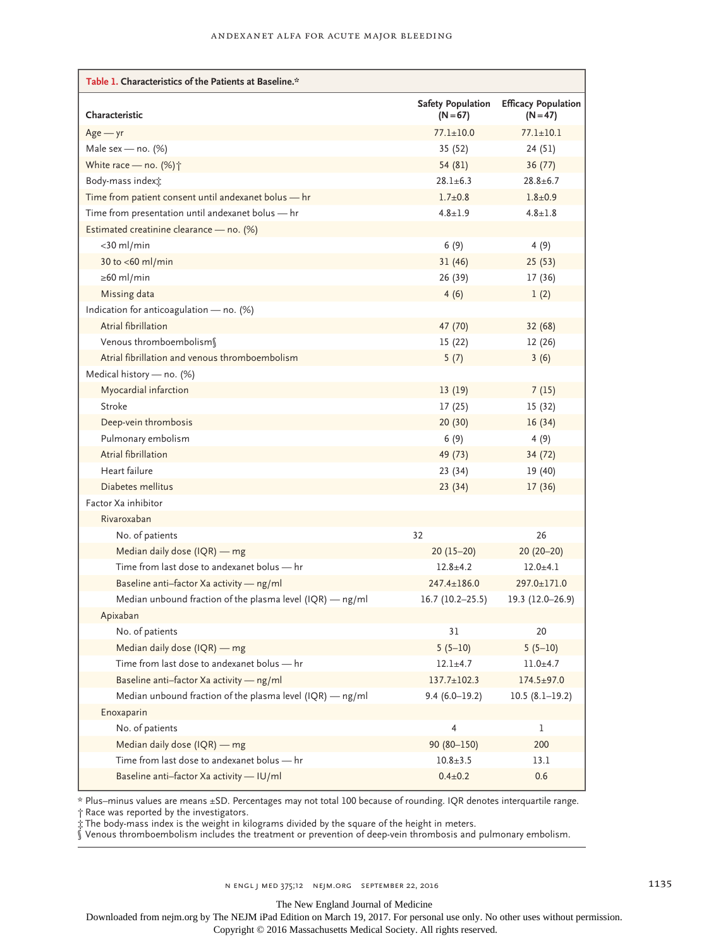| Table 1. Characteristics of the Patients at Baseline.*      |                                        |                                          |
|-------------------------------------------------------------|----------------------------------------|------------------------------------------|
| Characteristic                                              | <b>Safety Population</b><br>$(N = 67)$ | <b>Efficacy Population</b><br>$(N = 47)$ |
| $Age - yr$                                                  | $77.1 \pm 10.0$                        | $77.1 \pm 10.1$                          |
| Male sex - no. $(%)$                                        | 35 (52)                                | 24 (51)                                  |
| White race - no. (%) <sup>+</sup>                           | 54 (81)                                | 36(77)                                   |
| Body-mass indext:                                           | $28.1 \pm 6.3$                         | $28.8 + 6.7$                             |
| Time from patient consent until andexanet bolus - hr        | $1.7 + 0.8$                            | $1.8 + 0.9$                              |
| Time from presentation until andexanet bolus - hr           | $4.8 \pm 1.9$                          | $4.8 \pm 1.8$                            |
| Estimated creatinine clearance - no. (%)                    |                                        |                                          |
| $<$ 30 ml/min                                               | 6(9)                                   | 4(9)                                     |
| 30 to <60 ml/min                                            | 31(46)                                 | 25(53)                                   |
| $\geq 60$ ml/min                                            | 26 (39)                                | 17 (36)                                  |
| Missing data                                                | 4(6)                                   | 1(2)                                     |
| Indication for anticoagulation - no. (%)                    |                                        |                                          |
| Atrial fibrillation                                         | 47 (70)                                | 32 (68)                                  |
| Venous thromboembolism                                      | 15(22)                                 | 12 (26)                                  |
| Atrial fibrillation and venous thromboembolism              | 5(7)                                   | 3(6)                                     |
| Medical history - no. (%)                                   |                                        |                                          |
| Myocardial infarction                                       | 13(19)                                 | 7(15)                                    |
| Stroke                                                      | 17(25)                                 | 15 (32)                                  |
| Deep-vein thrombosis                                        | 20(30)                                 | 16(34)                                   |
| Pulmonary embolism                                          | 6(9)                                   | 4(9)                                     |
| Atrial fibrillation                                         | 49 (73)                                | 34 (72)                                  |
| Heart failure                                               | 23 (34)                                | 19 (40)                                  |
| Diabetes mellitus                                           | 23(34)                                 | 17(36)                                   |
| Factor Xa inhibitor                                         |                                        |                                          |
| Rivaroxaban                                                 |                                        |                                          |
| No. of patients                                             | 32                                     | 26                                       |
| Median daily dose (IQR) - mg                                | $20(15-20)$                            | $20(20-20)$                              |
| Time from last dose to andexanet bolus - hr                 | $12.8 + 4.2$                           | $12.0 + 4.1$                             |
| Baseline anti-factor Xa activity - ng/ml                    | 247.4±186.0                            | 297.0±171.0                              |
| Median unbound fraction of the plasma level $(IQR)$ — ng/ml | $16.7(10.2-25.5)$                      | 19.3 (12.0-26.9)                         |
| Apixaban                                                    |                                        |                                          |
| No. of patients                                             | 31                                     | 20                                       |
| Median daily dose (IQR) - mg                                | $5(5-10)$                              | $5(5-10)$                                |
| Time from last dose to andexanet bolus - hr                 | $12.1 \pm 4.7$                         | $11.0 + 4.7$                             |
| Baseline anti-factor Xa activity - ng/ml                    | $137.7 \pm 102.3$                      | $174.5 \pm 97.0$                         |
| Median unbound fraction of the plasma level (IQR) - ng/ml   | $9.4(6.0-19.2)$                        | $10.5(8.1-19.2)$                         |
| Enoxaparin                                                  |                                        |                                          |
| No. of patients                                             | 4                                      | 1                                        |
| Median daily dose (IQR) - mg                                | 90 (80-150)                            | 200                                      |
| Time from last dose to andexanet bolus - hr                 | $10.8 + 3.5$                           | 13.1                                     |
| Baseline anti-factor Xa activity - IU/ml                    | $0.4 \pm 0.2$                          | 0.6                                      |

\* Plus–minus values are means ±SD. Percentages may not total 100 because of rounding. IQR denotes interquartile range.

† Race was reported by the investigators.

‡ The body-mass index is the weight in kilograms divided by the square of the height in meters.

§ Venous thromboembolism includes the treatment or prevention of deep-vein thrombosis and pulmonary embolism.

The New England Journal of Medicine

Downloaded from nejm.org by The NEJM iPad Edition on March 19, 2017. For personal use only. No other uses without permission.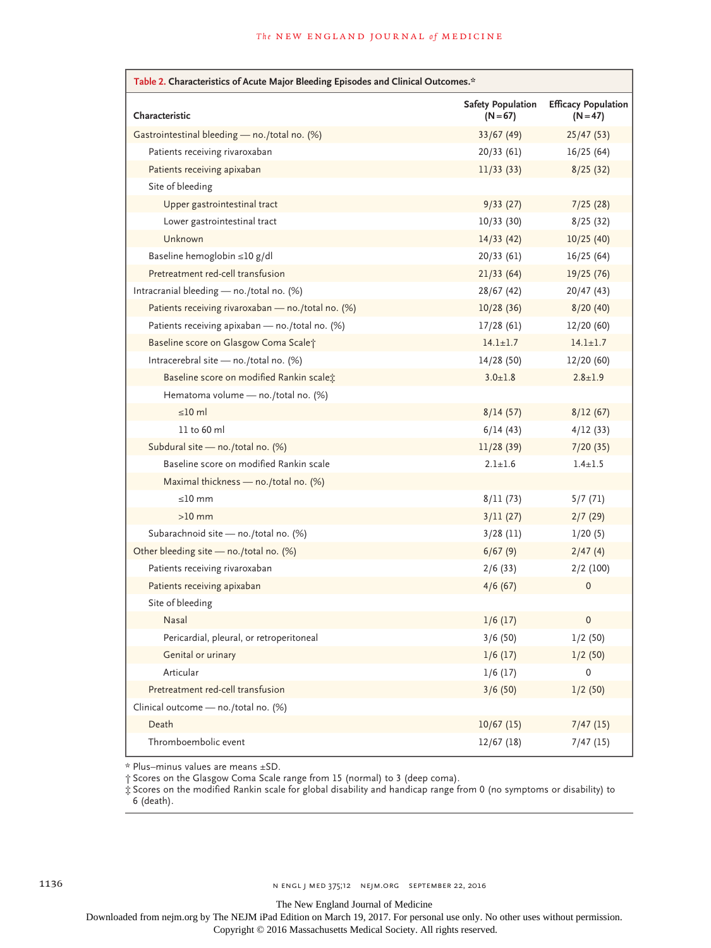| Table 2. Characteristics of Acute Major Bleeding Episodes and Clinical Outcomes.* |                                      |                                          |  |
|-----------------------------------------------------------------------------------|--------------------------------------|------------------------------------------|--|
| Characteristic                                                                    | <b>Safety Population</b><br>$(N=67)$ | <b>Efficacy Population</b><br>$(N = 47)$ |  |
| Gastrointestinal bleeding - no./total no. (%)                                     | 33/67(49)                            | 25/47(53)                                |  |
| Patients receiving rivaroxaban                                                    | 20/33(61)                            | 16/25(64)                                |  |
| Patients receiving apixaban                                                       | 11/33(33)                            | 8/25(32)                                 |  |
| Site of bleeding                                                                  |                                      |                                          |  |
| Upper gastrointestinal tract                                                      | 9/33(27)                             | 7/25(28)                                 |  |
| Lower gastrointestinal tract                                                      | 10/33(30)                            | 8/25(32)                                 |  |
| Unknown                                                                           | 14/33(42)                            | 10/25(40)                                |  |
| Baseline hemoglobin ≤10 g/dl                                                      | 20/33(61)                            | 16/25(64)                                |  |
| Pretreatment red-cell transfusion                                                 | 21/33(64)                            | 19/25(76)                                |  |
| Intracranial bleeding - no./total no. (%)                                         | 28/67(42)                            | 20/47(43)                                |  |
| Patients receiving rivaroxaban - no./total no. (%)                                | 10/28(36)                            | 8/20(40)                                 |  |
| Patients receiving apixaban - no./total no. (%)                                   | 17/28(61)                            | 12/20(60)                                |  |
| Baseline score on Glasgow Coma Scalet                                             | $14.1 \pm 1.7$                       | $14.1 \pm 1.7$                           |  |
| Intracerebral site - no./total no. (%)                                            | 14/28(50)                            | 12/20 (60)                               |  |
| Baseline score on modified Rankin scale;                                          | $3.0 \pm 1.8$                        | $2.8 \pm 1.9$                            |  |
| Hematoma volume - no./total no. (%)                                               |                                      |                                          |  |
| $\leq 10$ ml                                                                      | 8/14(57)                             | 8/12(67)                                 |  |
| 11 to 60 ml                                                                       | 6/14(43)                             | 4/12(33)                                 |  |
| Subdural site - no./total no. (%)                                                 | 11/28(39)                            | 7/20(35)                                 |  |
| Baseline score on modified Rankin scale                                           | $2.1 \pm 1.6$                        | $1.4 \pm 1.5$                            |  |
| Maximal thickness - no./total no. (%)                                             |                                      |                                          |  |
| $\leq$ 10 mm                                                                      | 8/11(73)                             | 5/7(71)                                  |  |
| $>10$ mm                                                                          | 3/11(27)                             | 2/7(29)                                  |  |
| Subarachnoid site - no./total no. (%)                                             | $3/28$ (11)                          | 1/20(5)                                  |  |
| Other bleeding site - no./total no. (%)                                           | 6/67(9)                              | 2/47(4)                                  |  |
| Patients receiving rivaroxaban                                                    | 2/6(33)                              | $2/2$ (100)                              |  |
| Patients receiving apixaban                                                       | 4/6(67)                              | 0                                        |  |
| Site of bleeding                                                                  |                                      |                                          |  |
| Nasal                                                                             | 1/6(17)                              | 0                                        |  |
| Pericardial, pleural, or retroperitoneal                                          | 3/6 (50)                             | 1/2 (50)                                 |  |
| Genital or urinary                                                                | 1/6(17)                              | 1/2(50)                                  |  |
| Articular                                                                         | 1/6(17)                              | 0                                        |  |
| Pretreatment red-cell transfusion                                                 | 3/6(50)                              | 1/2(50)                                  |  |
| Clinical outcome - no./total no. (%)                                              |                                      |                                          |  |
| Death                                                                             | 10/67(15)                            | 7/47(15)                                 |  |
| Thromboembolic event                                                              | 12/67(18)                            | 7/47(15)                                 |  |

\* Plus–minus values are means ±SD.

† Scores on the Glasgow Coma Scale range from 15 (normal) to 3 (deep coma).

‡ Scores on the modified Rankin scale for global disability and handicap range from 0 (no symptoms or disability) to 6 (death).

The New England Journal of Medicine

Downloaded from nejm.org by The NEJM iPad Edition on March 19, 2017. For personal use only. No other uses without permission.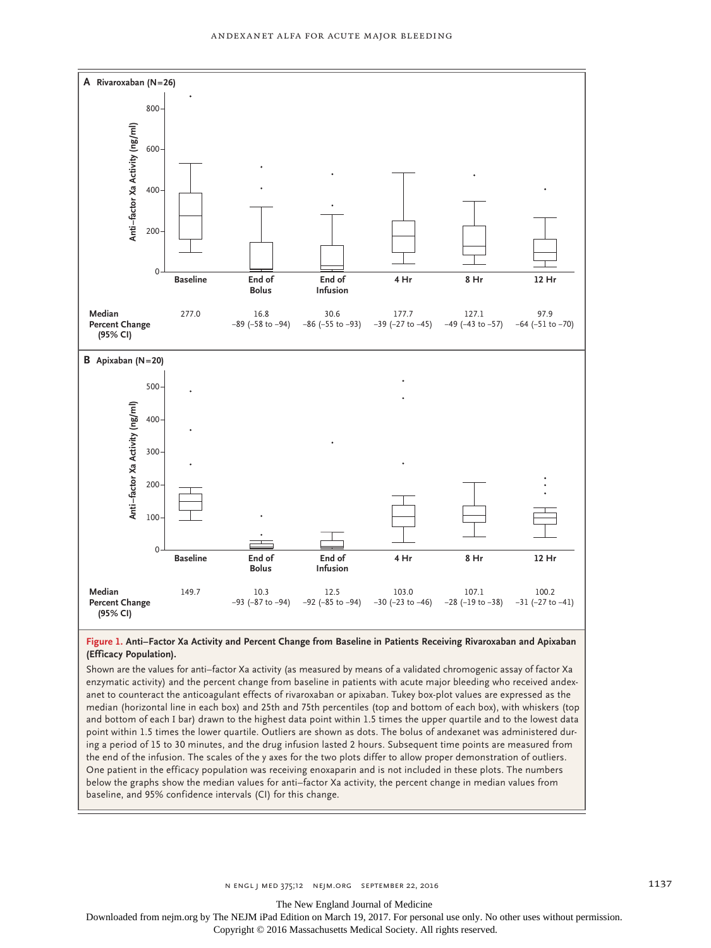

#### **Figure 1. Anti–Factor Xa Activity and Percent Change from Baseline in Patients Receiving Rivaroxaban and Apixaban (Efficacy Population).**

Shown are the values for anti–factor Xa activity (as measured by means of a validated chromogenic assay of factor Xa enzymatic activity) and the percent change from baseline in patients with acute major bleeding who received andexanet to counteract the anticoagulant effects of rivaroxaban or apixaban. Tukey box-plot values are expressed as the median (horizontal line in each box) and 25th and 75th percentiles (top and bottom of each box), with whiskers (top and bottom of each I bar) drawn to the highest data point within 1.5 times the upper quartile and to the lowest data point within 1.5 times the lower quartile. Outliers are shown as dots. The bolus of andexanet was administered during a period of 15 to 30 minutes, and the drug infusion lasted 2 hours. Subsequent time points are measured from the end of the infusion. The scales of the y axes for the two plots differ to allow proper demonstration of outliers. One patient in the efficacy population was receiving enoxaparin and is not included in these plots. The numbers below the graphs show the median values for anti–factor Xa activity, the percent change in median values from

The New England Journal of Medicine

Downloaded from nejm.org by The NEJM iPad Edition on March 19, 2017. For personal use only. No other uses without permission.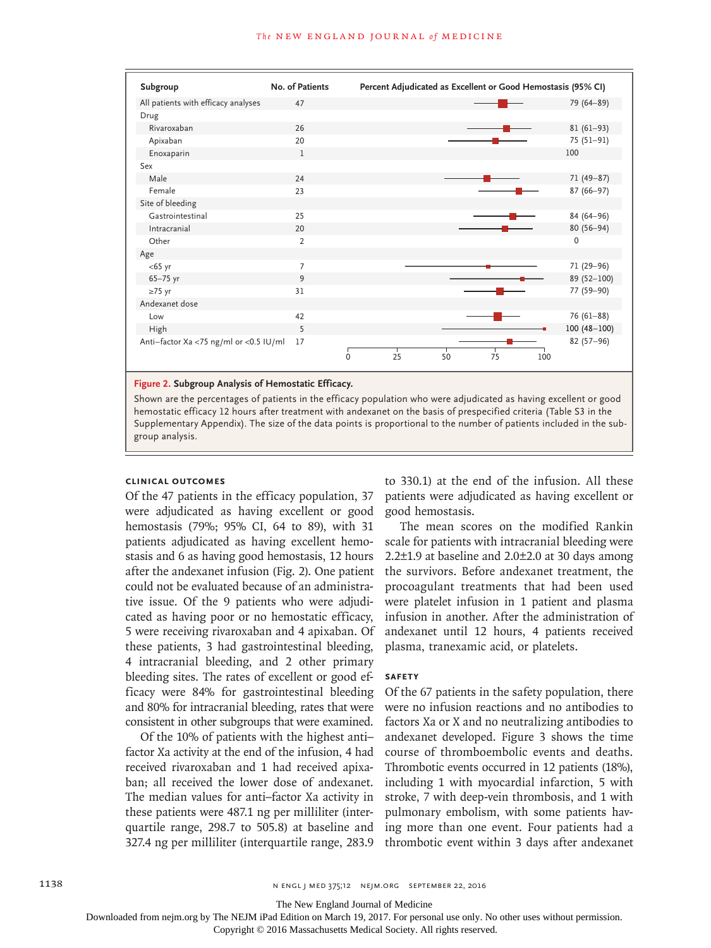

#### **Figure 2. Subgroup Analysis of Hemostatic Efficacy.**

Shown are the percentages of patients in the efficacy population who were adjudicated as having excellent or good hemostatic efficacy 12 hours after treatment with andexanet on the basis of prespecified criteria (Table S3 in the Supplementary Appendix). The size of the data points is proportional to the number of patients included in the subgroup analysis.

#### **Clinical Outcomes**

Of the 47 patients in the efficacy population, 37 were adjudicated as having excellent or good hemostasis (79%; 95% CI, 64 to 89), with 31 patients adjudicated as having excellent hemostasis and 6 as having good hemostasis, 12 hours after the andexanet infusion (Fig. 2). One patient could not be evaluated because of an administrative issue. Of the 9 patients who were adjudicated as having poor or no hemostatic efficacy, 5 were receiving rivaroxaban and 4 apixaban. Of these patients, 3 had gastrointestinal bleeding, 4 intracranial bleeding, and 2 other primary bleeding sites. The rates of excellent or good efficacy were 84% for gastrointestinal bleeding and 80% for intracranial bleeding, rates that were consistent in other subgroups that were examined.

Of the 10% of patients with the highest anti– factor Xa activity at the end of the infusion, 4 had received rivaroxaban and 1 had received apixaban; all received the lower dose of andexanet. The median values for anti–factor Xa activity in these patients were 487.1 ng per milliliter (interquartile range, 298.7 to 505.8) at baseline and 327.4 ng per milliliter (interquartile range, 283.9

to 330.1) at the end of the infusion. All these patients were adjudicated as having excellent or good hemostasis.

The mean scores on the modified Rankin scale for patients with intracranial bleeding were 2.2 $\pm$ 1.9 at baseline and 2.0 $\pm$ 2.0 at 30 days among the survivors. Before andexanet treatment, the procoagulant treatments that had been used were platelet infusion in 1 patient and plasma infusion in another. After the administration of andexanet until 12 hours, 4 patients received plasma, tranexamic acid, or platelets.

### **Safety**

Of the 67 patients in the safety population, there were no infusion reactions and no antibodies to factors Xa or X and no neutralizing antibodies to andexanet developed. Figure 3 shows the time course of thromboembolic events and deaths. Thrombotic events occurred in 12 patients (18%), including 1 with myocardial infarction, 5 with stroke, 7 with deep-vein thrombosis, and 1 with pulmonary embolism, with some patients having more than one event. Four patients had a thrombotic event within 3 days after andexanet

The New England Journal of Medicine

Downloaded from nejm.org by The NEJM iPad Edition on March 19, 2017. For personal use only. No other uses without permission.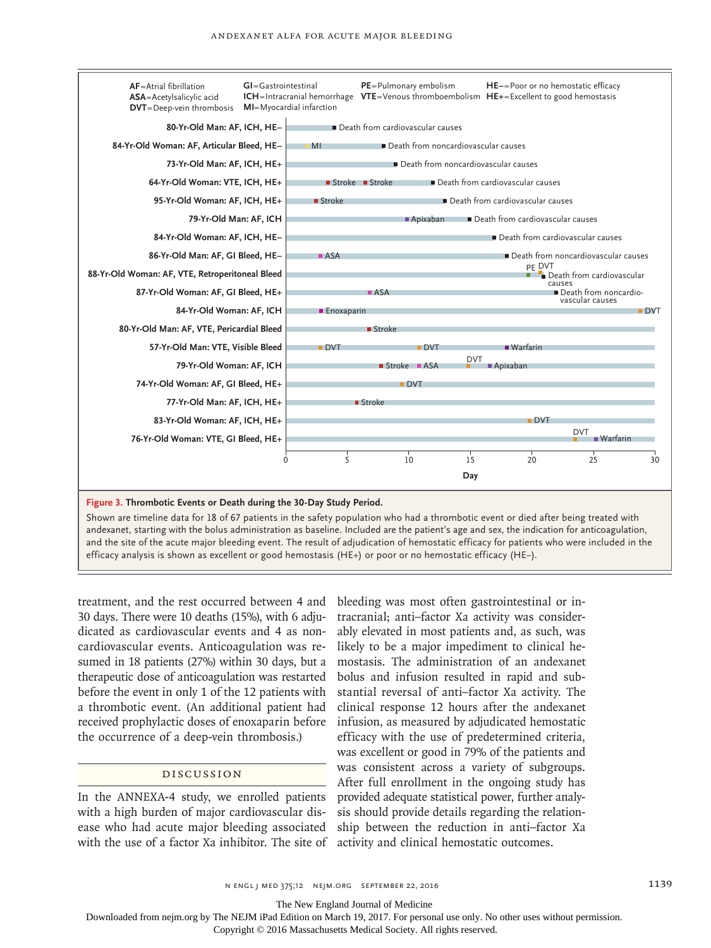

Shown are timeline data for 18 of 67 patients in the safety population who had a thrombotic event or died after being treated with andexanet, starting with the bolus administration as baseline. Included are the patient's age and sex, the indication for anticoagulation, and the site of the acute major bleeding event. The result of adjudication of hemostatic efficacy for patients who were included in the efficacy analysis is shown as excellent or good hemostasis (HE+) or poor or no hemostatic efficacy (HE−).

treatment, and the rest occurred between 4 and 30 days. There were 10 deaths (15%), with 6 adjudicated as cardiovascular events and 4 as noncardiovascular events. Anticoagulation was resumed in 18 patients (27%) within 30 days, but a therapeutic dose of anticoagulation was restarted before the event in only 1 of the 12 patients with a thrombotic event. (An additional patient had received prophylactic doses of enoxaparin before the occurrence of a deep-vein thrombosis.)

## Discussion

In the ANNEXA-4 study, we enrolled patients with a high burden of major cardiovascular disease who had acute major bleeding associated with the use of a factor Xa inhibitor. The site of

bleeding was most often gastrointestinal or intracranial; anti–factor Xa activity was considerably elevated in most patients and, as such, was likely to be a major impediment to clinical hemostasis. The administration of an andexanet bolus and infusion resulted in rapid and substantial reversal of anti–factor Xa activity. The clinical response 12 hours after the andexanet infusion, as measured by adjudicated hemostatic efficacy with the use of predetermined criteria, was excellent or good in 79% of the patients and was consistent across a variety of subgroups. After full enrollment in the ongoing study has provided adequate statistical power, further analysis should provide details regarding the relationship between the reduction in anti–factor Xa activity and clinical hemostatic outcomes.

The New England Journal of Medicine

Downloaded from nejm.org by The NEJM iPad Edition on March 19, 2017. For personal use only. No other uses without permission.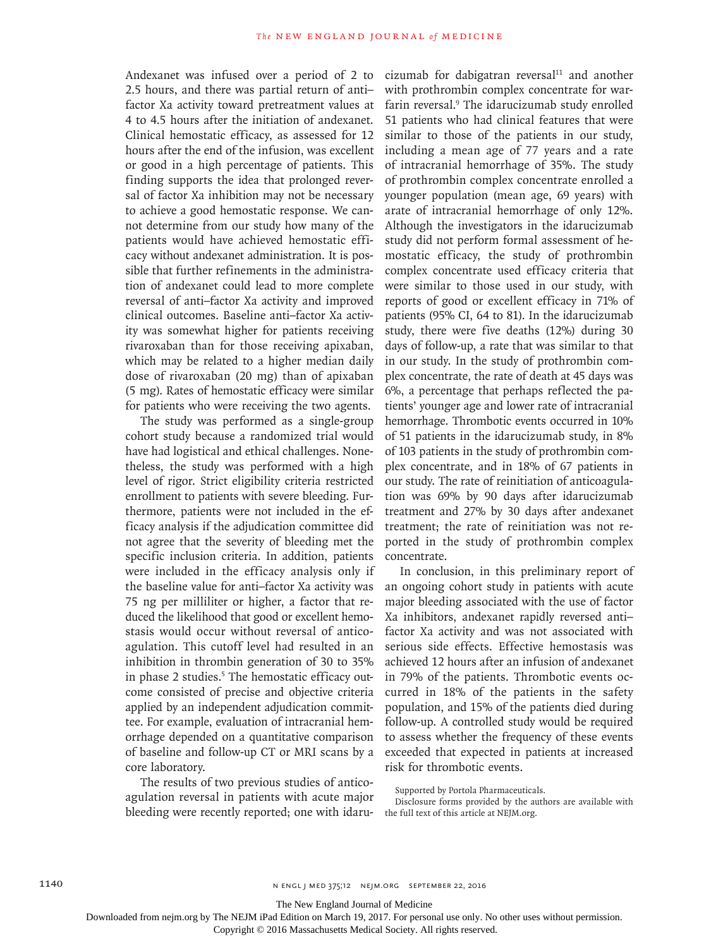Andexanet was infused over a period of 2 to 2.5 hours, and there was partial return of anti– factor Xa activity toward pretreatment values at 4 to 4.5 hours after the initiation of andexanet. Clinical hemostatic efficacy, as assessed for 12 hours after the end of the infusion, was excellent or good in a high percentage of patients. This finding supports the idea that prolonged reversal of factor Xa inhibition may not be necessary to achieve a good hemostatic response. We cannot determine from our study how many of the patients would have achieved hemostatic efficacy without andexanet administration. It is possible that further refinements in the administration of andexanet could lead to more complete reversal of anti–factor Xa activity and improved clinical outcomes. Baseline anti–factor Xa activity was somewhat higher for patients receiving rivaroxaban than for those receiving apixaban, which may be related to a higher median daily dose of rivaroxaban (20 mg) than of apixaban (5 mg). Rates of hemostatic efficacy were similar for patients who were receiving the two agents.

The study was performed as a single-group cohort study because a randomized trial would have had logistical and ethical challenges. Nonetheless, the study was performed with a high level of rigor. Strict eligibility criteria restricted enrollment to patients with severe bleeding. Furthermore, patients were not included in the efficacy analysis if the adjudication committee did not agree that the severity of bleeding met the specific inclusion criteria. In addition, patients were included in the efficacy analysis only if the baseline value for anti–factor Xa activity was 75 ng per milliliter or higher, a factor that reduced the likelihood that good or excellent hemostasis would occur without reversal of anticoagulation. This cutoff level had resulted in an inhibition in thrombin generation of 30 to 35% in phase 2 studies.<sup>5</sup> The hemostatic efficacy outcome consisted of precise and objective criteria applied by an independent adjudication committee. For example, evaluation of intracranial hemorrhage depended on a quantitative comparison of baseline and follow-up CT or MRI scans by a core laboratory.

The results of two previous studies of anticoagulation reversal in patients with acute major bleeding were recently reported; one with idarucizumab for dabigatran reversal $11$  and another with prothrombin complex concentrate for warfarin reversal.9 The idarucizumab study enrolled 51 patients who had clinical features that were similar to those of the patients in our study, including a mean age of 77 years and a rate of intracranial hemorrhage of 35%. The study of prothrombin complex concentrate enrolled a younger population (mean age, 69 years) with arate of intracranial hemorrhage of only 12%. Although the investigators in the idarucizumab study did not perform formal assessment of hemostatic efficacy, the study of prothrombin complex concentrate used efficacy criteria that were similar to those used in our study, with reports of good or excellent efficacy in 71% of patients (95% CI, 64 to 81). In the idarucizumab study, there were five deaths (12%) during 30 days of follow-up, a rate that was similar to that in our study. In the study of prothrombin complex concentrate, the rate of death at 45 days was 6%, a percentage that perhaps reflected the patients' younger age and lower rate of intracranial hemorrhage. Thrombotic events occurred in 10% of 51 patients in the idarucizumab study, in 8% of 103 patients in the study of prothrombin complex concentrate, and in 18% of 67 patients in our study. The rate of reinitiation of anticoagulation was 69% by 90 days after idarucizumab treatment and 27% by 30 days after andexanet treatment; the rate of reinitiation was not reported in the study of prothrombin complex concentrate.

In conclusion, in this preliminary report of an ongoing cohort study in patients with acute major bleeding associated with the use of factor Xa inhibitors, andexanet rapidly reversed anti– factor Xa activity and was not associated with serious side effects. Effective hemostasis was achieved 12 hours after an infusion of andexanet in 79% of the patients. Thrombotic events occurred in 18% of the patients in the safety population, and 15% of the patients died during follow-up. A controlled study would be required to assess whether the frequency of these events exceeded that expected in patients at increased risk for thrombotic events.

Supported by Portola Pharmaceuticals.

Disclosure forms provided by the authors are available with the full text of this article at NEJM.org.

The New England Journal of Medicine

Downloaded from nejm.org by The NEJM iPad Edition on March 19, 2017. For personal use only. No other uses without permission.